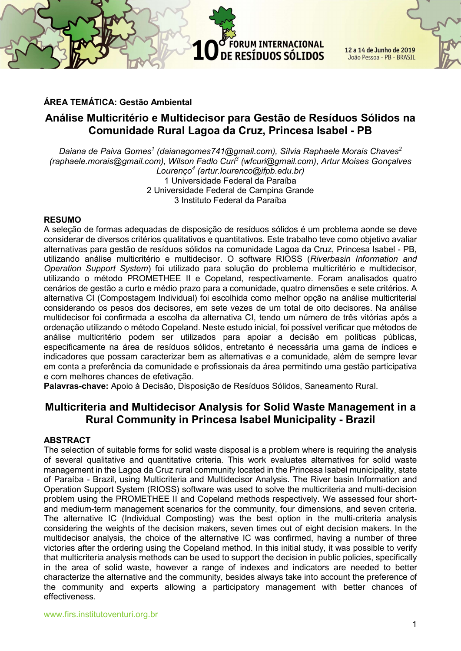**FORUM INTERNACIONAL** 12 a 14 de Junho de 2019 DE RESÍDUOS SÓLIDOS João Pessoa - PB - BRASIL

# ÁREA TEMÁTICA: Gestão Ambiental

# Análise Multicritério e Multidecisor para Gestão de Resíduos Sólidos na Comunidade Rural Lagoa da Cruz, Princesa Isabel - PB

Daiana de Paiva Gomes $^{\prime}$  (daianagomes741@gmail.com), Sílvia Raphaele Morais Chaves $^2$ (raphaele.morais@gmail.com), Wilson Fadlo Curi<sup>3</sup> (wfcuri@gmail.com), Artur Moises Gonçalves Lourenço<sup>4</sup> (artur.lourenco@ifpb.edu.br) 1 Universidade Federal da Paraíba 2 Universidade Federal de Campina Grande 3 Instituto Federal da Paraíba

#### RESUMO

A seleção de formas adequadas de disposição de resíduos sólidos é um problema aonde se deve considerar de diversos critérios qualitativos e quantitativos. Este trabalho teve como objetivo avaliar alternativas para gestão de resíduos sólidos na comunidade Lagoa da Cruz, Princesa Isabel - PB, utilizando análise multicritério e multidecisor. O software RIOSS (Riverbasin Information and Operation Support System) foi utilizado para solução do problema multicritério e multidecisor, utilizando o método PROMETHEE II e Copeland, respectivamente. Foram analisados quatro cenários de gestão a curto e médio prazo para a comunidade, quatro dimensões e sete critérios. A alternativa CI (Compostagem Individual) foi escolhida como melhor opção na análise multicriterial considerando os pesos dos decisores, em sete vezes de um total de oito decisores. Na análise multidecisor foi confirmada a escolha da alternativa CI, tendo um número de três vitórias após a ordenação utilizando o método Copeland. Neste estudo inicial, foi possível verificar que métodos de análise multicritério podem ser utilizados para apoiar a decisão em políticas públicas, especificamente na área de resíduos sólidos, entretanto é necessária uma gama de índices e indicadores que possam caracterizar bem as alternativas e a comunidade, além de sempre levar em conta a preferência da comunidade e profissionais da área permitindo uma gestão participativa e com melhores chances de efetivação.

Palavras-chave: Apoio à Decisão, Disposição de Resíduos Sólidos, Saneamento Rural.

# Multicriteria and Multidecisor Analysis for Solid Waste Management in a Rural Community in Princesa Isabel Municipality - Brazil

#### ABSTRACT

The selection of suitable forms for solid waste disposal is a problem where is requiring the analysis of several qualitative and quantitative criteria. This work evaluates alternatives for solid waste management in the Lagoa da Cruz rural community located in the Princesa Isabel municipality, state of Paraíba - Brazil, using Multicriteria and Multidecisor Analysis. The River basin Information and Operation Support System (RIOSS) software was used to solve the multicriteria and multi-decision problem using the PROMETHEE II and Copeland methods respectively. We assessed four shortand medium-term management scenarios for the community, four dimensions, and seven criteria. The alternative IC (Individual Composting) was the best option in the multi-criteria analysis considering the weights of the decision makers, seven times out of eight decision makers. In the multidecisor analysis, the choice of the alternative IC was confirmed, having a number of three victories after the ordering using the Copeland method. In this initial study, it was possible to verify that multicriteria analysis methods can be used to support the decision in public policies, specifically in the area of solid waste, however a range of indexes and indicators are needed to better characterize the alternative and the community, besides always take into account the preference of the community and experts allowing a participatory management with better chances of effectiveness.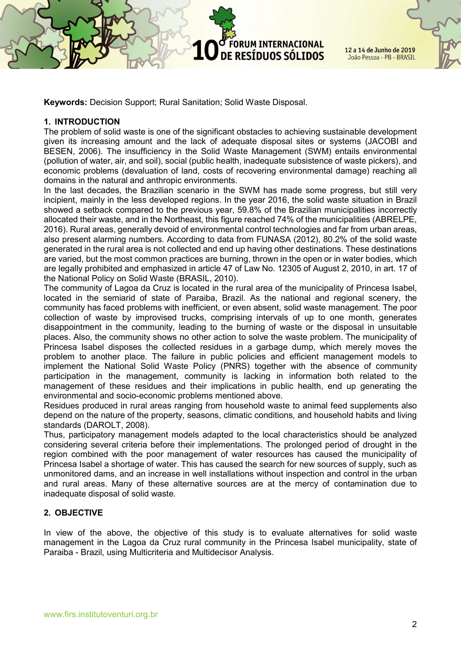Keywords: Decision Support; Rural Sanitation; Solid Waste Disposal.

## 1. INTRODUCTION

The problem of solid waste is one of the significant obstacles to achieving sustainable development given its increasing amount and the lack of adequate disposal sites or systems (JACOBI and BESEN, 2006). The insufficiency in the Solid Waste Management (SWM) entails environmental (pollution of water, air, and soil), social (public health, inadequate subsistence of waste pickers), and economic problems (devaluation of land, costs of recovering environmental damage) reaching all domains in the natural and anthropic environments.

ORUM INTERNACIONAL

DE RESÍDUOS SÓLIDOS

In the last decades, the Brazilian scenario in the SWM has made some progress, but still very incipient, mainly in the less developed regions. In the year 2016, the solid waste situation in Brazil showed a setback compared to the previous year, 59.8% of the Brazilian municipalities incorrectly allocated their waste, and in the Northeast, this figure reached 74% of the municipalities (ABRELPE, 2016). Rural areas, generally devoid of environmental control technologies and far from urban areas, also present alarming numbers. According to data from FUNASA (2012), 80.2% of the solid waste generated in the rural area is not collected and end up having other destinations. These destinations are varied, but the most common practices are burning, thrown in the open or in water bodies, which are legally prohibited and emphasized in article 47 of Law No. 12305 of August 2, 2010, in art. 17 of the National Policy on Solid Waste (BRASIL, 2010).

The community of Lagoa da Cruz is located in the rural area of the municipality of Princesa Isabel, located in the semiarid of state of Paraiba, Brazil. As the national and regional scenery, the community has faced problems with inefficient, or even absent, solid waste management. The poor collection of waste by improvised trucks, comprising intervals of up to one month, generates disappointment in the community, leading to the burning of waste or the disposal in unsuitable places. Also, the community shows no other action to solve the waste problem. The municipality of Princesa Isabel disposes the collected residues in a garbage dump, which merely moves the problem to another place. The failure in public policies and efficient management models to implement the National Solid Waste Policy (PNRS) together with the absence of community participation in the management, community is lacking in information both related to the management of these residues and their implications in public health, end up generating the environmental and socio-economic problems mentioned above.

Residues produced in rural areas ranging from household waste to animal feed supplements also depend on the nature of the property, seasons, climatic conditions, and household habits and living standards (DAROLT, 2008).

Thus, participatory management models adapted to the local characteristics should be analyzed considering several criteria before their implementations. The prolonged period of drought in the region combined with the poor management of water resources has caused the municipality of Princesa Isabel a shortage of water. This has caused the search for new sources of supply, such as unmonitored dams, and an increase in well installations without inspection and control in the urban and rural areas. Many of these alternative sources are at the mercy of contamination due to inadequate disposal of solid waste.

# 2. OBJECTIVE

In view of the above, the objective of this study is to evaluate alternatives for solid waste management in the Lagoa da Cruz rural community in the Princesa Isabel municipality, state of Paraiba - Brazil, using Multicriteria and Multidecisor Analysis.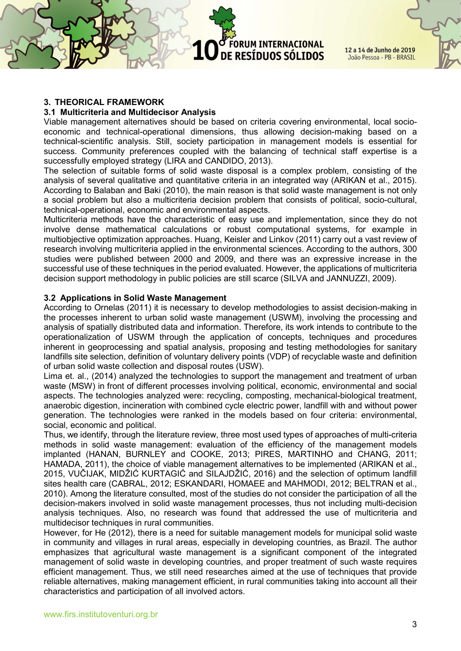FORUM INTERNACIONAL DE RESÍDUOS SÓLIDOS

12 a 14 de Junho de 2019 João Pessoa - PB - BRASIL

#### 3. THEORICAL FRAMEWORK

#### 3.1 Multicriteria and Multidecisor Analysis

Viable management alternatives should be based on criteria covering environmental, local socioeconomic and technical-operational dimensions, thus allowing decision-making based on a technical-scientific analysis. Still, society participation in management models is essential for success. Community preferences coupled with the balancing of technical staff expertise is a successfully employed strategy (LIRA and CANDIDO, 2013).

The selection of suitable forms of solid waste disposal is a complex problem, consisting of the analysis of several qualitative and quantitative criteria in an integrated way (ARIKAN et al., 2015). According to Balaban and Baki (2010), the main reason is that solid waste management is not only a social problem but also a multicriteria decision problem that consists of political, socio-cultural, technical-operational, economic and environmental aspects.

Multicriteria methods have the characteristic of easy use and implementation, since they do not involve dense mathematical calculations or robust computational systems, for example in multiobjective optimization approaches. Huang, Keisler and Linkov (2011) carry out a vast review of research involving multicriteria applied in the environmental sciences. According to the authors, 300 studies were published between 2000 and 2009, and there was an expressive increase in the successful use of these techniques in the period evaluated. However, the applications of multicriteria decision support methodology in public policies are still scarce (SILVA and JANNUZZI, 2009).

#### 3.2 Applications in Solid Waste Management

According to Ornelas (2011) it is necessary to develop methodologies to assist decision-making in the processes inherent to urban solid waste management (USWM), involving the processing and analysis of spatially distributed data and information. Therefore, its work intends to contribute to the operationalization of USWM through the application of concepts, techniques and procedures inherent in geoprocessing and spatial analysis, proposing and testing methodologies for sanitary landfills site selection, definition of voluntary delivery points (VDP) of recyclable waste and definition of urban solid waste collection and disposal routes (USW).

Lima et. al., (2014) analyzed the technologies to support the management and treatment of urban waste (MSW) in front of different processes involving political, economic, environmental and social aspects. The technologies analyzed were: recycling, composting, mechanical-biological treatment, anaerobic digestion, incineration with combined cycle electric power, landfill with and without power generation. The technologies were ranked in the models based on four criteria: environmental, social, economic and political.

Thus, we identify, through the literature review, three most used types of approaches of multi-criteria methods in solid waste management: evaluation of the efficiency of the management models implanted (HANAN, BURNLEY and COOKE, 2013; PIRES, MARTINHO and CHANG, 2011; HAMADA, 2011), the choice of viable management alternatives to be implemented (ARIKAN et al., 2015, VUČIJAK, MIDŽIĆ KURTAGIĆ and SILAJDŽIĆ, 2016) and the selection of optimum landfill sites health care (CABRAL, 2012; ESKANDARI, HOMAEE and MAHMODI, 2012; BELTRAN et al., 2010). Among the literature consulted, most of the studies do not consider the participation of all the decision-makers involved in solid waste management processes, thus not including multi-decision analysis techniques. Also, no research was found that addressed the use of multicriteria and multidecisor techniques in rural communities.

However, for He (2012), there is a need for suitable management models for municipal solid waste in community and villages in rural areas, especially in developing countries, as Brazil. The author emphasizes that agricultural waste management is a significant component of the integrated management of solid waste in developing countries, and proper treatment of such waste requires efficient management. Thus, we still need researches aimed at the use of techniques that provide reliable alternatives, making management efficient, in rural communities taking into account all their characteristics and participation of all involved actors.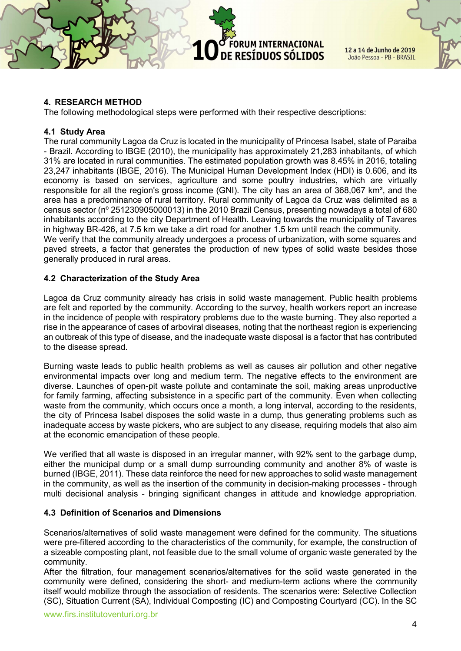ORUM INTERNACIONAL DE RESÍDUOS SÓLIDOS



## 4. RESEARCH METHOD

The following methodological steps were performed with their respective descriptions:

## 4.1 Study Area

The rural community Lagoa da Cruz is located in the municipality of Princesa Isabel, state of Paraiba - Brazil. According to IBGE (2010), the municipality has approximately 21,283 inhabitants, of which 31% are located in rural communities. The estimated population growth was 8.45% in 2016, totaling 23,247 inhabitants (IBGE, 2016). The Municipal Human Development Index (HDI) is 0.606, and its economy is based on services, agriculture and some poultry industries, which are virtually responsible for all the region's gross income (GNI). The city has an area of 368,067 km², and the area has a predominance of rural territory. Rural community of Lagoa da Cruz was delimited as a census sector (nº 251230905000013) in the 2010 Brazil Census, presenting nowadays a total of 680 inhabitants according to the city Department of Health. Leaving towards the municipality of Tavares in highway BR-426, at 7.5 km we take a dirt road for another 1.5 km until reach the community. We verify that the community already undergoes a process of urbanization, with some squares and paved streets, a factor that generates the production of new types of solid waste besides those

generally produced in rural areas.

## 4.2 Characterization of the Study Area

Lagoa da Cruz community already has crisis in solid waste management. Public health problems are felt and reported by the community. According to the survey, health workers report an increase in the incidence of people with respiratory problems due to the waste burning. They also reported a rise in the appearance of cases of arboviral diseases, noting that the northeast region is experiencing an outbreak of this type of disease, and the inadequate waste disposal is a factor that has contributed to the disease spread.

Burning waste leads to public health problems as well as causes air pollution and other negative environmental impacts over long and medium term. The negative effects to the environment are diverse. Launches of open-pit waste pollute and contaminate the soil, making areas unproductive for family farming, affecting subsistence in a specific part of the community. Even when collecting waste from the community, which occurs once a month, a long interval, according to the residents, the city of Princesa Isabel disposes the solid waste in a dump, thus generating problems such as inadequate access by waste pickers, who are subject to any disease, requiring models that also aim at the economic emancipation of these people.

We verified that all waste is disposed in an irregular manner, with 92% sent to the garbage dump, either the municipal dump or a small dump surrounding community and another 8% of waste is burned (IBGE, 2011). These data reinforce the need for new approaches to solid waste management in the community, as well as the insertion of the community in decision-making processes - through multi decisional analysis - bringing significant changes in attitude and knowledge appropriation.

## 4.3 Definition of Scenarios and Dimensions

Scenarios/alternatives of solid waste management were defined for the community. The situations were pre-filtered according to the characteristics of the community, for example, the construction of a sizeable composting plant, not feasible due to the small volume of organic waste generated by the community.

After the filtration, four management scenarios/alternatives for the solid waste generated in the community were defined, considering the short- and medium-term actions where the community itself would mobilize through the association of residents. The scenarios were: Selective Collection (SC), Situation Current (SA), Individual Composting (IC) and Composting Courtyard (CC). In the SC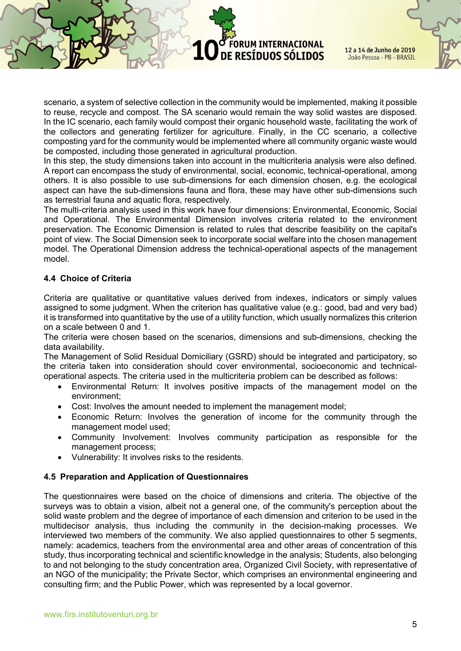scenario, a system of selective collection in the community would be implemented, making it possible to reuse, recycle and compost. The SA scenario would remain the way solid wastes are disposed. In the IC scenario, each family would compost their organic household waste, facilitating the work of the collectors and generating fertilizer for agriculture. Finally, in the CC scenario, a collective composting yard for the community would be implemented where all community organic waste would be composted, including those generated in agricultural production.

**ORUM INTERNACIONAL** 

DE RESÍDUOS SÓLIDOS

In this step, the study dimensions taken into account in the multicriteria analysis were also defined. A report can encompass the study of environmental, social, economic, technical-operational, among others. It is also possible to use sub-dimensions for each dimension chosen, e.g. the ecological aspect can have the sub-dimensions fauna and flora, these may have other sub-dimensions such as terrestrial fauna and aquatic flora, respectively.

The multi-criteria analysis used in this work have four dimensions: Environmental, Economic, Social and Operational. The Environmental Dimension involves criteria related to the environment preservation. The Economic Dimension is related to rules that describe feasibility on the capital's point of view. The Social Dimension seek to incorporate social welfare into the chosen management model. The Operational Dimension address the technical-operational aspects of the management model.

## 4.4 Choice of Criteria

Criteria are qualitative or quantitative values derived from indexes, indicators or simply values assigned to some judgment. When the criterion has qualitative value (e.g.: good, bad and very bad) it is transformed into quantitative by the use of a utility function, which usually normalizes this criterion on a scale between 0 and 1.

The criteria were chosen based on the scenarios, dimensions and sub-dimensions, checking the data availability.

The Management of Solid Residual Domiciliary (GSRD) should be integrated and participatory, so the criteria taken into consideration should cover environmental, socioeconomic and technicaloperational aspects. The criteria used in the multicriteria problem can be described as follows:

- Environmental Return: It involves positive impacts of the management model on the environment;
- Cost: Involves the amount needed to implement the management model;
- Economic Return: Involves the generation of income for the community through the management model used;
- Community Involvement: Involves community participation as responsible for the management process;
- Vulnerability: It involves risks to the residents.

## 4.5 Preparation and Application of Questionnaires

The questionnaires were based on the choice of dimensions and criteria. The objective of the surveys was to obtain a vision, albeit not a general one, of the community's perception about the solid waste problem and the degree of importance of each dimension and criterion to be used in the multidecisor analysis, thus including the community in the decision-making processes. We interviewed two members of the community. We also applied questionnaires to other 5 segments, namely: academics, teachers from the environmental area and other areas of concentration of this study, thus incorporating technical and scientific knowledge in the analysis; Students, also belonging to and not belonging to the study concentration area, Organized Civil Society, with representative of an NGO of the municipality; the Private Sector, which comprises an environmental engineering and consulting firm; and the Public Power, which was represented by a local governor.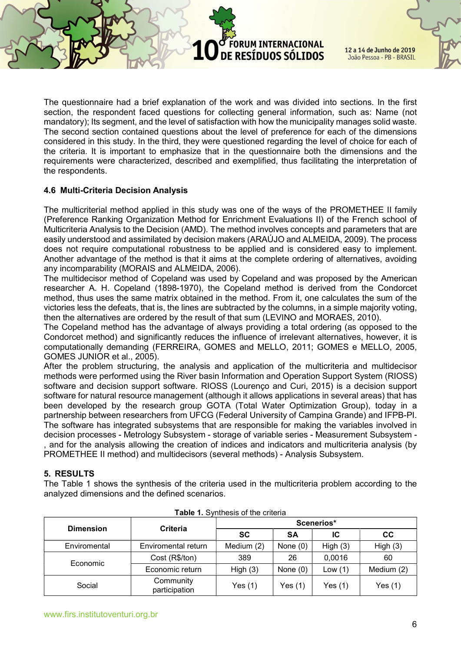The questionnaire had a brief explanation of the work and was divided into sections. In the first section, the respondent faced questions for collecting general information, such as: Name (not mandatory); Its segment, and the level of satisfaction with how the municipality manages solid waste. The second section contained questions about the level of preference for each of the dimensions considered in this study. In the third, they were questioned regarding the level of choice for each of the criteria. It is important to emphasize that in the questionnaire both the dimensions and the requirements were characterized, described and exemplified, thus facilitating the interpretation of the respondents.

**ORUM INTERNACIONAL** 

DE RESÍDUOS SÓLIDOS

## 4.6 Multi-Criteria Decision Analysis

The multicriterial method applied in this study was one of the ways of the PROMETHEE II family (Preference Ranking Organization Method for Enrichment Evaluations II) of the French school of Multicriteria Analysis to the Decision (AMD). The method involves concepts and parameters that are easily understood and assimilated by decision makers (ARAÚJO and ALMEIDA, 2009). The process does not require computational robustness to be applied and is considered easy to implement. Another advantage of the method is that it aims at the complete ordering of alternatives, avoiding any incomparability (MORAIS and ALMEIDA, 2006).

The multidecisor method of Copeland was used by Copeland and was proposed by the American researcher A. H. Copeland (1898-1970), the Copeland method is derived from the Condorcet method, thus uses the same matrix obtained in the method. From it, one calculates the sum of the victories less the defeats, that is, the lines are subtracted by the columns, in a simple majority voting, then the alternatives are ordered by the result of that sum (LEVINO and MORAES, 2010).

The Copeland method has the advantage of always providing a total ordering (as opposed to the Condorcet method) and significantly reduces the influence of irrelevant alternatives, however, it is computationally demanding (FERREIRA, GOMES and MELLO, 2011; GOMES e MELLO, 2005, GOMES JUNIOR et al., 2005).

After the problem structuring, the analysis and application of the multicriteria and multidecisor methods were performed using the River basin Information and Operation Support System (RIOSS) software and decision support software. RIOSS (Lourenço and Curi, 2015) is a decision support software for natural resource management (although it allows applications in several areas) that has been developed by the research group GOTA (Total Water Optimization Group), today in a partnership between researchers from UFCG (Federal University of Campina Grande) and IFPB-PI. The software has integrated subsystems that are responsible for making the variables involved in decision processes - Metrology Subsystem - storage of variable series - Measurement Subsystem and for the analysis allowing the creation of indices and indicators and multicriteria analysis (by PROMETHEE II method) and multidecisors (several methods) - Analysis Subsystem.

## 5. RESULTS

The Table 1 shows the synthesis of the criteria used in the multicriteria problem according to the analyzed dimensions and the defined scenarios.

| <b>Dimension</b> | <b>Criteria</b>            | Scenerios* |            |         |            |
|------------------|----------------------------|------------|------------|---------|------------|
|                  |                            | <b>SC</b>  | SΑ         | ΙC      | <b>CC</b>  |
| Enviromental     | Enviromental return        | Medium (2) | None $(0)$ | High(3) | High $(3)$ |
| Economic         | Cost (R\$/ton)             | 389        | 26         | 0,0016  | 60         |
|                  | Economic return            | High $(3)$ | None $(0)$ | Low(1)  | Medium (2) |
| Social           | Community<br>participation | Yes $(1)$  | Yes $(1)$  | Yes (1) | Yes $(1)$  |

|  |  | Table 1. Synthesis of the criteria |
|--|--|------------------------------------|
|--|--|------------------------------------|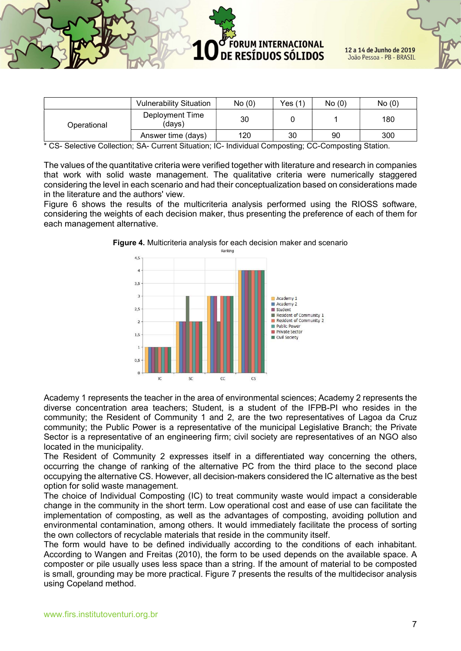ORUM INTERNACIONAL 12 a 14 de Junho de 2019 DE RESÍDUOS SÓLIDOS João Pessoa - PB - BRASIL

|                                                                                                                                                        | <b>Vulnerability Situation</b> | No(0) | Yes (1) | No(0) | No(0) |  |
|--------------------------------------------------------------------------------------------------------------------------------------------------------|--------------------------------|-------|---------|-------|-------|--|
| Operational                                                                                                                                            | Deployment Time<br>(davs)      | 30    |         |       | 180   |  |
|                                                                                                                                                        | Answer time (days)             | 120   | 30      | 90    | 300   |  |
| $*$ 00 0-1-14 $\sim$ 0-1-14 $\sim$ 0.4 0.00 $\sim$ 0.4 $\sim$ 10.14 $\sim$ 10.15 $\sim$ 10.15 $\sim$ 0.00 $\sim$ 0.000 $\sim$ 0.000 $\sim$ 0.14 $\sim$ |                                |       |         |       |       |  |

CS- Selective Collection; SA- Current Situation; IC- Individual Composting; CC-Composting Station.

The values of the quantitative criteria were verified together with literature and research in companies that work with solid waste management. The qualitative criteria were numerically staggered considering the level in each scenario and had their conceptualization based on considerations made in the literature and the authors' view.

Figure 6 shows the results of the multicriteria analysis performed using the RIOSS software, considering the weights of each decision maker, thus presenting the preference of each of them for each management alternative.



**Figure 4.** Multicriteria analysis for each decision maker and scenario

Academy 1 represents the teacher in the area of environmental sciences; Academy 2 represents the diverse concentration area teachers; Student, is a student of the IFPB-PI who resides in the community; the Resident of Community 1 and 2, are the two representatives of Lagoa da Cruz community; the Public Power is a representative of the municipal Legislative Branch; the Private Sector is a representative of an engineering firm; civil society are representatives of an NGO also located in the municipality.

The Resident of Community 2 expresses itself in a differentiated way concerning the others, occurring the change of ranking of the alternative PC from the third place to the second place occupying the alternative CS. However, all decision-makers considered the IC alternative as the best option for solid waste management.

The choice of Individual Composting (IC) to treat community waste would impact a considerable change in the community in the short term. Low operational cost and ease of use can facilitate the implementation of composting, as well as the advantages of composting, avoiding pollution and environmental contamination, among others. It would immediately facilitate the process of sorting the own collectors of recyclable materials that reside in the community itself.

The form would have to be defined individually according to the conditions of each inhabitant. According to Wangen and Freitas (2010), the form to be used depends on the available space. A composter or pile usually uses less space than a string. If the amount of material to be composted is small, grounding may be more practical. Figure 7 presents the results of the multidecisor analysis using Copeland method.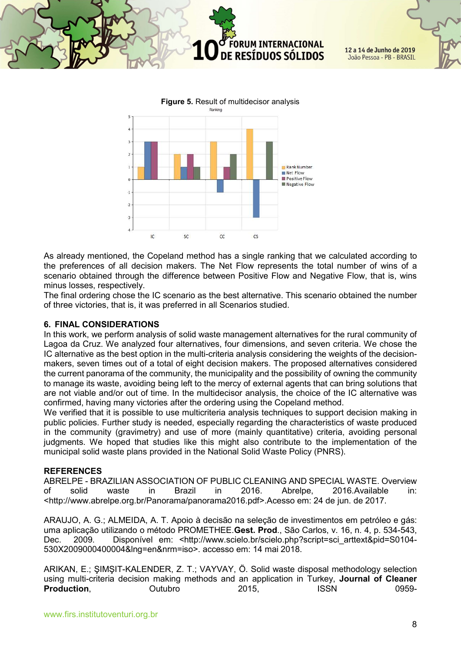



As already mentioned, the Copeland method has a single ranking that we calculated according to the preferences of all decision makers. The Net Flow represents the total number of wins of a scenario obtained through the difference between Positive Flow and Negative Flow, that is, wins minus losses, respectively.

The final ordering chose the IC scenario as the best alternative. This scenario obtained the number of three victories, that is, it was preferred in all Scenarios studied.

#### 6. FINAL CONSIDERATIONS

In this work, we perform analysis of solid waste management alternatives for the rural community of Lagoa da Cruz. We analyzed four alternatives, four dimensions, and seven criteria. We chose the IC alternative as the best option in the multi-criteria analysis considering the weights of the decisionmakers, seven times out of a total of eight decision makers. The proposed alternatives considered the current panorama of the community, the municipality and the possibility of owning the community to manage its waste, avoiding being left to the mercy of external agents that can bring solutions that are not viable and/or out of time. In the multidecisor analysis, the choice of the IC alternative was confirmed, having many victories after the ordering using the Copeland method.

We verified that it is possible to use multicriteria analysis techniques to support decision making in public policies. Further study is needed, especially regarding the characteristics of waste produced in the community (gravimetry) and use of more (mainly quantitative) criteria, avoiding personal judgments. We hoped that studies like this might also contribute to the implementation of the municipal solid waste plans provided in the National Solid Waste Policy (PNRS).

#### **REFERENCES**

ABRELPE - BRAZILIAN ASSOCIATION OF PUBLIC CLEANING AND SPECIAL WASTE. Overview of solid waste in Brazil in 2016. Abrelpe, 2016.Available in: <http://www.abrelpe.org.br/Panorama/panorama2016.pdf>.Acesso em: 24 de jun. de 2017.

ARAUJO, A. G.; ALMEIDA, A. T. Apoio à decisão na seleção de investimentos em petróleo e gás: uma aplicação utilizando o método PROMETHEE.Gest. Prod., São Carlos, v. 16, n. 4, p. 534-543, Dec. 2009. Disponível em: <http://www.scielo.br/scielo.php?script=sci\_arttext&pid=S0104-530X2009000400004&lng=en&nrm=iso>. accesso em: 14 mai 2018.

ARIKAN, E.; ŞIMŞIT-KALENDER, Z. T.; VAYVAY, Ö. Solid waste disposal methodology selection using multi-criteria decision making methods and an application in Turkey, Journal of Cleaner Production, Outubro 2015, ISSN 0959-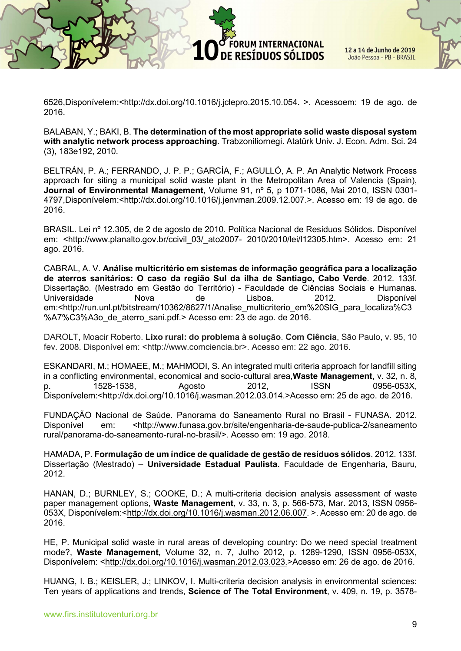6526,Disponívelem:<http://dx.doi.org/10.1016/j.jclepro.2015.10.054. >. Acessoem: 19 de ago. de 2016.

**ORUM INTERNACIONAL** 

DE RESÍDUOS SÓLIDOS

BALABAN, Y.; BAKI, B. The determination of the most appropriate solid waste disposal system with analytic network process approaching. Trabzoniliornegi. Atatürk Univ. J. Econ. Adm. Sci. 24 (3), 183e192, 2010.

BELTRÁN, P. A.; FERRANDO, J. P. P.; GARCÍA, F.; AGULLÓ, A. P. An Analytic Network Process approach for siting a municipal solid waste plant in the Metropolitan Area of Valencia (Spain), Journal of Environmental Management, Volume 91, nº 5, p 1071-1086, Mai 2010, ISSN 0301-4797,Disponívelem:<http://dx.doi.org/10.1016/j.jenvman.2009.12.007.>. Acesso em: 19 de ago. de 2016.

BRASIL. Lei nº 12.305, de 2 de agosto de 2010. Política Nacional de Resíduos Sólidos. Disponível em: <http://www.planalto.gov.br/ccivil 03/ ato2007- 2010/2010/lei/l12305.htm>. Acesso em: 21 ago. 2016.

CABRAL, A. V. Análise multicritério em sistemas de informação geográfica para a localização de aterros sanitários: O caso da região Sul da ilha de Santiago, Cabo Verde. 2012. 133f. Dissertação. (Mestrado em Gestão do Território) - Faculdade de Ciências Sociais e Humanas. Universidade Nova de Lisboa. 2012. Disponível em:<http://run.unl.pt/bitstream/10362/8627/1/Analise\_multicriterio\_em%20SIG\_para\_localiza%C3 %A7%C3%A3o de aterro sani.pdf. > Acesso em: 23 de ago. de 2016.

DAROLT, Moacir Roberto. Lixo rural: do problema à solução. Com Ciência, São Paulo, v. 95, 10 fev. 2008. Disponível em: <http://www.comciencia.br>. Acesso em: 22 ago. 2016.

ESKANDARI, M.; HOMAEE, M.; MAHMODI, S. An integrated multi criteria approach for landfill siting in a conflicting environmental, economical and socio-cultural area, Waste Management, v. 32, n. 8, p. 1528-1538, Agosto 2012, ISSN 0956-053X, Disponívelem:<http://dx.doi.org/10.1016/j.wasman.2012.03.014.>Acesso em: 25 de ago. de 2016.

FUNDAÇÃO Nacional de Saúde. Panorama do Saneamento Rural no Brasil - FUNASA. 2012. Disponível em: <http://www.funasa.gov.br/site/engenharia-de-saude-publica-2/saneamento rural/panorama-do-saneamento-rural-no-brasil/>. Acesso em: 19 ago. 2018.

HAMADA, P. Formulação de um índice de qualidade de gestão de resíduos sólidos. 2012. 133f. Dissertação (Mestrado) – Universidade Estadual Paulista. Faculdade de Engenharia, Bauru, 2012.

HANAN, D.; BURNLEY, S.; COOKE, D.; A multi-criteria decision analysis assessment of waste paper management options, Waste Management, v. 33, n. 3, p. 566-573, Mar. 2013, ISSN 0956- 053X, Disponívelem:<http://dx.doi.org/10.1016/j.wasman.2012.06.007. >. Acesso em: 20 de ago. de 2016.

HE, P. Municipal solid waste in rural areas of developing country: Do we need special treatment mode?, Waste Management, Volume 32, n. 7, Julho 2012, p. 1289-1290, ISSN 0956-053X, Disponívelem: <http://dx.doi.org/10.1016/j.wasman.2012.03.023.>Acesso em: 26 de ago. de 2016.

HUANG, I. B.; KEISLER, J.; LINKOV, I. Multi-criteria decision analysis in environmental sciences: Ten years of applications and trends, **Science of The Total Environment**, v. 409, n. 19, p. 3578-